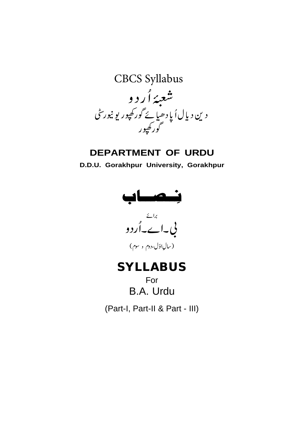

## **DEPARTMENT OF URDU**

**D.D.U. Gorakhpur University, Gorakhpur**



(سالبالول،دوم و سوم)

# **SYLLABUS**

For B.A. Urdu

(Part-I, Part-II & Part - III)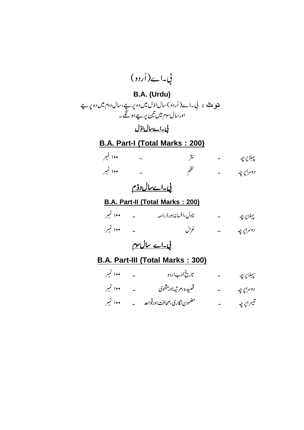

### **B.A. Part-III (Total Marks : 300)**

| ۱۰۰ نمبر | تاریخ ادباردو                  | پېلاپرچه  |
|----------|--------------------------------|-----------|
| ۱۰۰ نمبر | قصيده بمرثيهاور مثنوي          | دوسراپرچه |
| ۱۰۰ نمبر | مضمون نگاری،صحافت اورقواعد میپ | تيىراپرچە |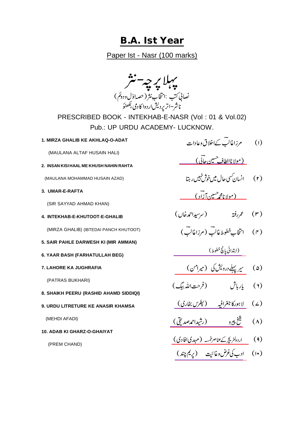## **B.A. Ist Year**

Paper Ist - Nasr (100 marks)

| نصاني کتب  :انتخاب نثر ( حصه اوّل ودونم )<br>ناشر–اتر پرد <sup>لی</sup> شار دوا کادمی بگھنوَ |                                           |            |  |  |  |  |
|----------------------------------------------------------------------------------------------|-------------------------------------------|------------|--|--|--|--|
| PRESCRIBED BOOK - INTEKHAB-E-NASR (Vol: 01 & Vol.02)<br>Pub.: UP URDU ACADEMY- LUCKNOW.      |                                           |            |  |  |  |  |
| 1. MIRZA GHALIB KE AKHLAQ-O-ADAT                                                             | (۱) مرزاغالب کےاخلاق وعادات               |            |  |  |  |  |
| (MAULANA ALTAF HUSAIN HALI)                                                                  | <u>(مولاناالطاف<sup>حسين</sup> عاتمي)</u> |            |  |  |  |  |
| 2. INSAN KISI HAAL ME KHUSH NAHIN RAHTA                                                      |                                           |            |  |  |  |  |
| (MAULANA MOHAMMAD HUSAIN AZAD)                                                               | (۲) لېسان سی حال میں خوش نېیں رېټا        |            |  |  |  |  |
| 3. UMAR-E-RAFTA                                                                              | <u>(مولانامحمر سین آزاد )</u>             |            |  |  |  |  |
| (SIR SAYYAD AHMAD KHAN)                                                                      |                                           |            |  |  |  |  |
| 4. INTEKHAB-E-KHUTOOT-E-GHALIB                                                               |                                           |            |  |  |  |  |
| (MIRZA GHALIB) (IBTEDAI PANCH KHUTOOT)                                                       |                                           |            |  |  |  |  |
| 5. SAIR PAHLE DARWESH KI (MIR AMMAN)                                                         |                                           |            |  |  |  |  |
| 6. YAAR BASH (FARHATULLAH BEG)                                                               |                                           |            |  |  |  |  |
| 7. LAHORE KA JUGHRAFIA                                                                       | سیر پہلے درویش کی (میرامن)                | $(\omega)$ |  |  |  |  |
| (PATRAS BUKHARI)                                                                             | بإرباش (فرحت الله بيگ)                    | (Y)        |  |  |  |  |
| 8. SHAIKH PEERU (RASHID AHAMD SIDDIQI)                                                       |                                           |            |  |  |  |  |
| 9. URDU LITRETURE KE ANASIR KHAMSA                                                           | (۷) لاہورکا جغرافیہ (پکر <u>س بخاری)</u>  |            |  |  |  |  |
| (MEHDI AFADI)                                                                                | ش <u>خ پيرو (رشيداحم</u> صديق)            | $(\wedge)$ |  |  |  |  |
| 10. ADAB KI GHARZ-O-GHAIYAT                                                                  |                                           |            |  |  |  |  |
| (PREM CHAND)                                                                                 |                                           |            |  |  |  |  |
|                                                                                              |                                           |            |  |  |  |  |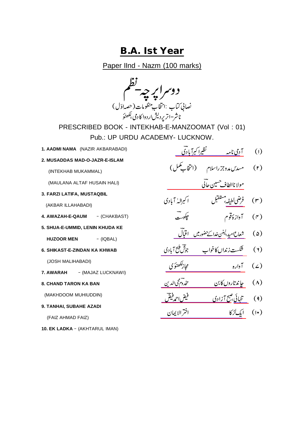## **B.A. Ist Year**

Paper IInd - Nazm (100 marks)

دوسراپرچە يقطم نصاني كتاب :انتخاب بمنظومات (حصهاوّل) ناشر–اتر یردیشار دوا کا دمی بگھنؤ

PRESCRIBED BOOK - INTEKHAB-E-MANZOOMAT (Vol : 01) Pub.: UP URDU ACADEMY- LUCKNOW.

- **1. AADMI NAMA** (NAZIR AKBARABADI)
- **2. MUSADDAS MAD-O-JAZR-E-ISLAM**

(INTEKHAB MUKAMMAL)

(MAULANA ALTAF HUSAIN HALI)

**3. FARZI LATIFA, MUSTAQBIL**

(AKBAR ILLAHABADI)

- **4. AWAZAH-E-QAUM** (CHAKBAST)
- **5. SHUA-E-UMMID, LENIN KHUDA KE HUZOOR MEN** - (IQBAL)
- **6. SHIKAST-E-ZINDAN KA KHWAB**

(JOSH MALIHABADI)

- **7. AWARAH** (MAJAZ LUCKNAWI)
- **8. CHAND TARON KA BAN**

(MAKHDOOM MUHIUDDIN)

**9. TANHAI, SUBAHE AZADI**

(FAIZ AHMAD FAIZ)

10. EK LADKA - (AKHTARUL IMAN)

- [\\_\\_\\_\\_\\_\\_\\_\\_\\_\\_\\_\\_\\_\\_\\_\\_\\_\\_\\_](https://www.rekhta.org/nazms/aadmii-naama-nazeer-akbarabadi-nazms?lang=ur)
- (۲) مسدس مدوجزراسلام (انتخاب کمل)
- <u>مولا ناالطاف حسين حالي مستقيمت مس</u>
- (۳) ف<u>رضی لطیفہ</u> جستقبل<br>(۳) ف<u>رضی لطیفہ</u> جستقبل
	- (۴) آوازهُ قوم میکنیست<br>(۴) آوازهُ قوم
	- (۵) <u>شعاع امید،لینن خدا کے حضور میں اقبال </u>
- (۲) خنگ<u>ست زندان کاخواب جوش مینج آبادی</u>
- [\\_\\_\\_\\_\\_\\_\\_\\_\\_\\_\\_\\_\\_\\_\\_\\_\\_\\_\\_\\_\\_\\_](https://www.rekhta.org/nazms/aavaara-asrar-ul-haq-majaz-nazms?lang=ur) (۷) آواره ــــــــــــــــــــــــــــــــا مجاز للقضوَی
- <u> پاند تاروں کا بن مستقصر مستقرر</u> کی الدین
- (۹) من<u>تبائی جنبخ آزادی مستقمت قیض احدقیض</u>
- (۱۰) ای<u>گ<sup>ار</sup> کا</u> مستقبل اخترالایمان (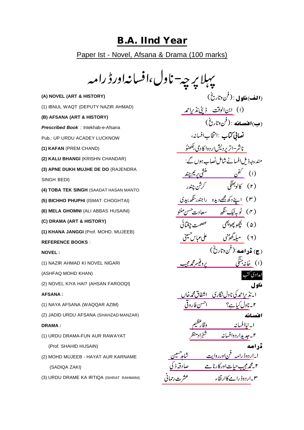### **B.A. IInd Year**

Paper Ist - Novel, Afsana & Drama (100 marks)

پہلا پر چ**ے- ناول،افسانہاورڈ رامہ** 

**(A) NOVEL (ART & HISTORY)** (1) IBNUL WAQT (DEPUTY NAZIR AHMAD) **(B) AFSANA (ART & HISTORY)** *Prescribed Book* : Intekhab-e-Afsana Pub.: UP URDU ACADEY LUCKNOW **(1) KAFAN** (PREM CHAND) **(2) KALU BHANGI** (KRISHN CHANDAR) **(3) APNE DUKH MUJHE DE DO** (RAJENDRA SINGH BEDI) **(4) TOBA TEK SINGH** (SAADAT HASAN MANTO **(5) BICHHO PHUPHI** (ISMAT CHOGHTAI) **(6) MELA GHOMNI** (ALI ABBAS HUSAINI) **(C) DRAMA (ART & HISTORY) (1) KHANA JANGGI** (Prof. MOHD. MUJEEB) **REFERENCE BOOKS** : **NOVEL :** (1) NAZIR AHMAD KI NOVEL NIGARI (ASHFAQ MOHD KHAN) (2) NOVEL KIYA HAI? (AHSAN FAROOQI) **AFSANA :** (1) NAYA AFSANA (WAQQAR AZIM) (2) JADID URDU AFSANA (SHAHZAD MANZAR) **DRAMA :** (1) URDU DRAMA-FUN AUR RAWAYAT (Prof. SHAHID HUSAIN) (2) MOHD MUJEEB - HAYAT AUR KARNAME (SADIQA ZAKI)

(3) URDU DRAME KA IRTIQA (ISHRAT RAHMANI)

(۱) <u>ابن الوقت ڈپٹی نذراحمہ</u> <u>ناشر–اتر پردیشاردوا کادمی بلهنوَ</u> (ا) <u>گفن مستحق پریم چند</u> (۳) ا<u>پنے دکھ مجھے دیدو راجندر سُکھ بیدی</u> (۴) <u>گوبہ ٹیک تنگھ مستعادت حسن منٹو</u> (۲) <u>میله گھونٹی مسلماعباس کیلئی</u> (۱) <u>خانه جنگی مسلم می محمد مجیب </u> ا *\_نذيراحم*كي ناو<u>ل نگاري \_ اشفاق محمه خان \_</u> [\\_\\_\\_\\_\\_\\_\\_\\_\\_\\_\\_\\_\\_\\_\\_\\_\\_\\_\\_](https://www.rekhta.org/ebooks/novel-kya-hai-ahsan-farooquinoorul-hasan-hashmi-ebooks?lang=ur) [\\_\\_\\_\\_\\_\\_\\_\\_\\_\\_\\_\\_\\_\\_\\_\\_\\_](https://www.rekhta.org/ebooks/naya-afsana-waqar-azeem-ebooks-3?lang=ur) ۲۔ج<u>دیداردوافسانہ شہزادمنظر</u> ا۔ار<u>دوڈرامہ فن|ورروایت مستقمانی م</u>سین ۲۔ <u>محمد مجیب حیات اور کارنامے مسلسلہ قدرت</u>کی ۳۔ا<u>ردوڈرامے کاارتقاء میں مستقشرت رحمانی</u> (**الف) ماه ل**ي : (فن دتاريخ) (ب) اقنصافه : ( <sup>ف</sup>ن وتاريخ ) نصابي كتاب :انتخاب افسانه، مندرجہ ذیل افسانے شامل نصاب ہوں گے: (۵) بَيَجْوِ پَيُو بَيْضَ مَصْمَت چغْتَائَی ( <del>ج</del>) ق**د اصه:** (فن دتاریخ) امدادی کتب ناه 1 ، ۲۔ن<u>اول کیا ہے؟ احسن فاروق</u> اقسانه ا۔نی<u>اافسانہ وتارکنی</u>م ڈر اصه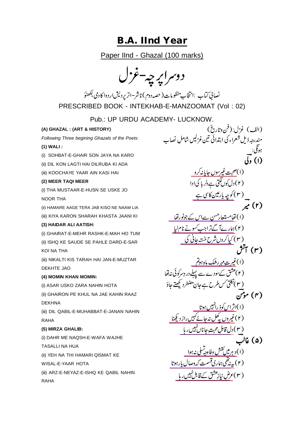## **B.A. IInd Year**

Paper IInd - Ghazal (100 marks)

دوسراپر چه-غزل

نصالی کتاب :انتخابِ منظومات( حصہ دوم) ناشر–اتر پردیش اردوا کادمی بکھنوَ PRESCRIBED BOOK - INTEKHAB-E-MANZOOMAT (Vol : 02)

Pub.: UP URDU ACADEMY- LUCKNOW.

### **(A) GHAZAL : (ART & HISTORY)**

*Following Three begining Ghazals of the Poets:*

#### **(1) WALI :**

(i) SOHBAT-E-GHAIR SON JAYA NA KARO

- (ii) DIL KON LAGTI HAI DILRUBA KI ADA
- (iii) KOOCHAYE YAAR AIN KASI HAI

#### **(2) MEER TAQI MEER**

(i) THA MUSTAAR-E-HUSN SE USKE JO NOOR THA

(ii) HAMARE AAGE TERA JAB KISO NE NAAM LIA

(iii) KIYA KARON SHARAH KHASTA JAANI KI

#### **(3) HAIDAR ALI AATISH:**

(i) GHAIRAT-E-MEHR RASHK-E-MAH HO TUM (ii) ISHQ KE SAUDE SE PAHLE DARD-E-SAR KOI NA THA

(iii) NIKALTI KIS TARAH HAI JAN-E-MUZTAR DEKHTE JAO

#### **(4) MOMIN KHAN MOMIN:**

(i) ASAR USKO ZARA NAHIN HOTA

(ii) GHAIRON PE KHUL NA JAE KAHIN RAAZ DEKHNA

(iii) DIL QABIL-E-MUHABBAT-E-JANAN NAHIN RAHA

#### **(5) MIRZA GHALIB:**

RAHA

(i) DAHR ME NAQSH-E-WAFA WAJHE TASALLI NA HUA (ii) YEH NA THI HAMARI QISMAT KE WISAL-E-YAAR HOTA (iii) ARZ-E-NEYAZ-E-ISHQ KE QABIL NAHIN

(۱) <u>صحبت غیرسوں جاپانہ کرو</u><br>۔ (۳) <u>کوچه یارمین کاس ہے</u> (۱) <u>خامستعار<sup>حس</sup>ن سےاس کے جونور خا</u> (۲)<u>ہارےآ گےتراجب *کس*ونے نا</u>م لیا<sub>۔</sub> ( ۳ ) کی<u>ا کروں ترخ خستہ جاتی گی</u> (۱)غ<u>یرت مهررهک ماه ہوتم</u> (۱)ا<u>ثراس کوذ رائهیں ہوتا</u> (۲)غیروں پہ کھل نہ جائے کہیں راز دیکھنا (C <u>ل قامپن محبت جانال بین رہا</u> .<br>(۱)دېرم<u>ين <sup>نق</sup>ش وفادحه<sup>تس</sup>لی نه <sub>ب</sub>وا</u> (۲) <u>یه نیظی ہماری قسمت که وصال پارہوتا</u> (۳) عر<u>ض نیاز عشق کے قابل نہیں رہا</u> (الف) غزل:(فن وتاريخ) مندرجه ذیل شعراء کی ابتدائی تین غزلیں شاملِ نصاب ہوتی: (۱) ولي (۲) دل کوں گئی ہے دلر ما کی اوا  $\boldsymbol{r}^{(r)}$ (۳) آتش (۲) عشق کے سودے سے پہلے در دِسر کوئی نہ تھا (۳) نکتی کس طرح ہے جانِ مضطرد کیھتے جاؤ (۴) موتن (۲)غی<u>روں پہل نہ جائے کہیں رازد کچھنا</u> ( <u>۳ ) دل قابلِ محبت جانان نہیں ر ہا</u>  $\overline{\phantom{a}}$ (۵) غالب ر<br>مدائقة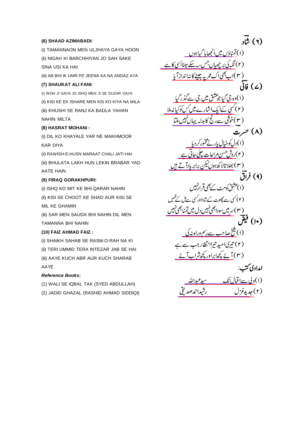#### **(6) SHAAD AZIMABADI:**

(i) TAMANNAON MEN ULJHAYA GAYA HOON (ii) NIGAH KI BARCHHIYAN JO SAH SAKE SINA USI KA HAI

(iii) AB BHI IK UMR PE JEENA KA NA ANDAZ AYA

#### **(7) SHAUKAT ALI FANI:**

(i) WOH JI GAYA JO ISHQ MEN JI SE GUZAR GAYA (ii) KISI KE EK ISHARE MEN KIS KO KIYA NA MILA (iii) KHUSHI SE RANJ KA BADLA YAHAN NAHIN MILTA

#### **(8) HASRAT MOHANI :**

(i) DIL KO KHAYALE YAR NE MAKHMOOR KAR DIYA

(ii) RAWISH-E-HUSN MARAAT CHALI JATI HAI (iii) BHULATA LAKH HUN LEKIN BRABAR YAD AATE HAIN

#### **(9) FIRAQ GORAKHPURI:**

(i) ISHQ KO MIT KE BHI QARAR NAHIN (ii) KISI SE CHOOT KE SHAD AUR KISI SE MIL KE GHAMIN

(iii) SAR MEN SAUDA BHI NAHIN DIL MEN TAMANNA BHI NAHIN

#### **(10) FAIZ AHMAD FAIZ :**

(i) SHAIKH SAHAB SE RASM-O-RAH NA KI (ii) TERI UMMID TERA INTEZAR JAB SE HAI (iii) AAYE KUCH ABR AUR KUCH SHARAB AAYE

#### *Reference Books:*

(1) WALI SE IQBAL TAK (SYED ABDULLAH) (2) JADID GHAZAL (RASHID AHMAD SIDDIQI)

(۱) تمن<u>اؤں میںاُ کجھایا گیاہوں</u> (۲) <u>نگہ کی بر چھیاں جس بہ سکے تینااُسی کا ہے</u> ( ۳ )اب <u>بھی اک عمر پہ جینے کا نہ انداز آیا</u><br>م (۱)<u>وہ جی گیاجوعشق میں جی سے گذر گیا</u> (۲)ک<u>سی کےایک اشارے میں کسکوکیانہ ملا</u> (<u>۳</u>)خو<u>تتی سےرنج کا بدلہ یہاں نہیں ماتا</u> (۱)د<u>ل کوخیال یار نے مخمور کردیا</u> (۲)رو<u>ش حسن مراعات چکی جاتی ہ</u>ے (۳) <u>بھلاتالا ک*ھ* ہوں کیکن برابر ہادآ تے ہیں</u> (۳) س<u>ر میں سودا بھی تہیں دل میں تمنا بھی تہیں</u> (۱) <u>شخ صاحب سے رسم وراہ نہ کی</u> (۳) <u>نے پڑھابراور پڑھ شراب آئے</u> (۱)<u>ولی سےاقبال تک مسید عبداللہ </u> رشيداحمەصد لقى  $\vec{u}$   $\tilde{u}$   $(1)$  $\tilde{\mathcal{W}}(\mathcal{L})$  فَاتَی (۸) حرت (۹) فراق (۱)عشق کومٹ کے بھی قرار پہیں (۲) کسی سے جھوٹ کے شاداور کسی سے ک کے *گ* غ<br>پر<br>پر  $\ddot{\cdot}$ ممبر<br>ممبر (١٠) فيقَ (۲) تیری امید تیراانتظار جب سے. امدادی کتب: (۲)جدیدغ<sup>.</sup>ل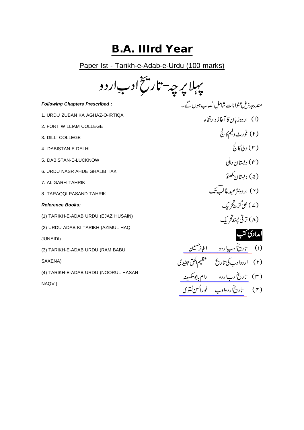# **B.A. IIIrd Year**

Paper Ist - Tarikh-e-Adab-e-Urdu (100 marks)

بېبلا پر چە-تار ⊦-Adal<br><del>\*</del>  $\widetilde{\zeta}$ فخ ادب اردو

#### *Following Chapters Prescribed :*

- 1. URDU ZUBAN KA AGHAZ-O-IRTIQA
- 2. FORT WILLIAM COLLEGE
- 3. DILLI COLLEGE
- 4. DABISTAN-E-DELHI
- 5. DABISTAN-E-LUCKNOW
- 6. URDU NASR AHDE GHALIB TAK
- 7. ALIGARH TAHRIK
- 8. TARAQQI PASAND TAHRIK

#### *Reference Books:*

- (1) TARIKH-E-ADAB URDU (EJAZ HUSAIN)
- (2) URDU ADAB KI TARIKH (AZIMUL HAQ
- JUNAIDI)
- (3) TARIKH-E-ADAB URDU (RAM BABU

SAXENA)

(4) TARIKH-E-ADAB URDU (NOORUL HASAN

NAQVI)

(۱) اردوز بان کا آغاز دارتقاء (۲) فورٹ ولیم کالج  $\overset{1}{\mathcal{E}}$ رلی کا (۴) دبستان د،بلی (۵) دیستان که هنوَ (۲) اردونژعهدغالب تک (۷) علی گڑھ *کر* یک (۸) ترقې پېند*ىخ* يک امدادی کتب

مندرجہ ذیل عنوانات شاملِ نصاب ہوں گے۔

<u>تاري آدبِ اردو په اعجاز مين پ</u> <u>تاري أدب اردو (مرا</u>م بابوسكسينه ت<u>ارت اردوادب فران تحقوق</u> (۱) <u>تاریخان بیاردو اعجاز حسین</u> (۲) اردوادب کی تاریخ مستعظیم الحق *جن*یدی (۳) <u>تاریخان اردو رام بابو</u>سکسینه (۴) <u>تاریخاردوادب نورا<sup>نحس</sup>ن نقوی</u>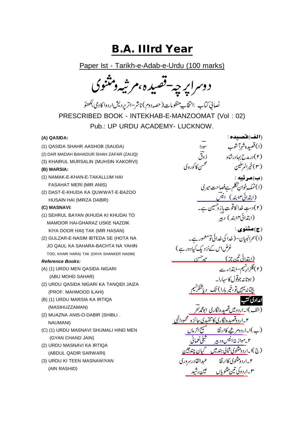# **B.A. IIIrd Year**

Paper Ist - Tarikh-e-Adab-e-Urdu (100 marks)

دوسراپرچە-قصیدہ،مرشەومتنوی

نصاني كتاب :انتخاب ٍ منظومات( حصه دوم ) ناشر –اتر يرد يش اردوا كادمى بكھنوَ PRESCRIBED BOOK - INTEKHAB-E-MANZOOMAT (Vol : 02) Pub.: UP URDU ACADEMY- LUCKNOW.

#### **(A) QASIDA:**

- (1) QASIDA SHAHR AASHOB (SAUDA)
- (2) DAR MADAH BAHADUR SHAH ZAFAR (ZAUQ)
- (3) KHAIRUL MURSALIN (MUHSIN KAKORVI)

#### **(B) MARSIA:**

- (1) NAMAK-E-KHAN-E-TAKALLUM HAI FASAHAT MERI (MIR ANIS)
- (2) DAST-E-KHUDA KA QUWWAT-E-BAZOO HUSAIN HAI (MIRZA DABIR)

#### **(C) MASNAVI:**

- (1) SEHRUL BAYAN (KHUDA KI KHUDAI TO MAMOOR HAI-GHARAZ USKE NAZDIK KIYA DOOR HAI) TAK (MIR HASAN)
- (2) GULZAR-E-NASIM IBTEDA SE (HOTA NA JO QAUL KA SAHARA-BACHTA NA YAHIN TOO, KHAIR HARA) TAK (DAYA SHANKER NASIM)

#### *Reference Books:*

- (A) (1) URDU MEN QASIDA NIGARI (ABU MOHD SAHAR)
- (2) URDU QASIDA NIGARI KA TANQIDI JAIZA (PROF. MAHMOOD ILAHI)
- (B) (1) URDU MARSIA KA IRTIQA (MASIHUZZAMAN)
- (2) MUAZNA ANIS-O-DABIR (SHIBLI . NAUMANI)
- (C) (1) URDU MASNAVI SHUMALI HIND MEN (GYAN CHAND JAIN)
- (2) URDU MASNAVI KA IRTIQA (ABDUL QADIR SARWARI)
- (3) URDU KI TEEN MASNAWIYAN (AIN RASHID)

(اب<u>تدائی ۱۴ بند) انیس</u> \_\_\_\_\_ [\\_\\_\\_\\_\\_\\_\\_\\_\\_\\_\\_\\_\\_\\_\\_\\_\\_\\_\\_\\_\\_\\_\\_\\_](https://www.rekhta.org/ebooks/sahr-ul-bayan-meer-hasan-ebooks-1?lang=ur) <u>چیانه نیبین تو، خمر ہارا) تک دیا تنگر شیم</u> <u>دومين فصيده نكاري الونجمه محر</u> ۲\_ا<u>ردوقصیده نگاری کا تنقیدی جائزه</u> محمودال<u>ی</u> .<br>(ب)ا۔ار<u>دوم شے کاارتقا تصمینینی الزماں</u> ۲۔<u>موازنۂالیسود پر مستعملی کعمانی</u> (ج)ا۔ا<u>ردومثنوی شالی ہندمیں مستحمیان چندجین</u> ۳۔ار<u>دوکی تین مثنویاں مسین رشید</u> (الف)فضيده : (۱) قصیده شهرآ شوب<br>(۲) درمدح بهادرشاه نوق فی (۲) درمدح بهادرشاه (۳)خمرالم<sup>سلي</sup>ين (ب)مرثبه : .<br>(۱) ئمك خوانِ تكلم ہے فصاحت میر کی (۲) دستِ خدا کاقوتِ باز دھسین ہے۔ (ابتدائی۱۴ابند) دبیر (ج)مثنوي : .<br>(۱) سحرالبیان- ( خدا کی خدائی تومعمور ہے۔ غرضاس کےنزد یک کیادور ہے ) (۲)گلزاریشیم-ابتداء سے (ہوتانہ جوقول کاسہارا۔ امدادی کتب (الف)ا۔ا<u>ردو میں تصیدہ نگاری ابو محمد سحر</u> ۲\_اردو مثنوی کاارتقا ہے عبدالقادرسروری